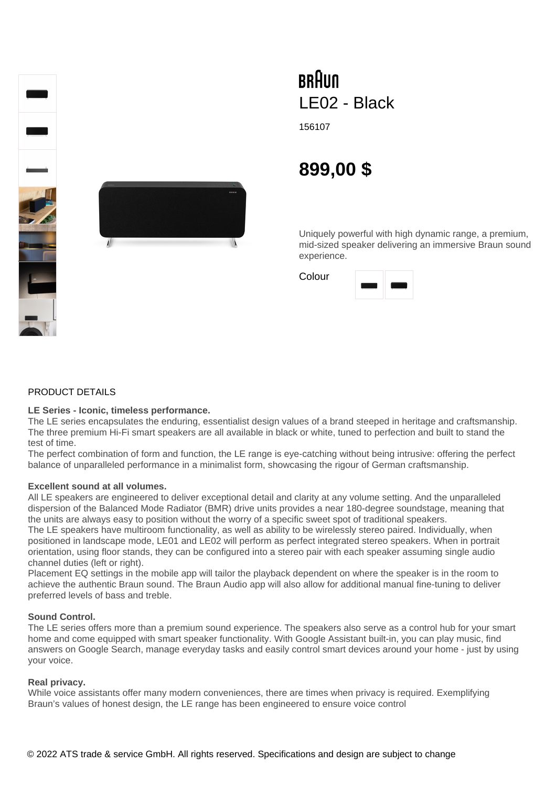



# **BRAUN** LE02 - Black

156107

# **899,00 \$**

Uniquely powerful with high dynamic range, a premium, mid-sized speaker delivering an immersive Braun sound experience.

Colour

# PRODUCT DETAILS

#### **LE Series - Iconic, timeless performance.**

The LE series encapsulates the enduring, essentialist design values of a brand steeped in heritage and craftsmanship. The three premium Hi-Fi smart speakers are all available in black or white, tuned to perfection and built to stand the test of time.

The perfect combination of form and function, the LE range is eye-catching without being intrusive: offering the perfect balance of unparalleled performance in a minimalist form, showcasing the rigour of German craftsmanship.

## **Excellent sound at all volumes.**

All LE speakers are engineered to deliver exceptional detail and clarity at any volume setting. And the unparalleled dispersion of the Balanced Mode Radiator (BMR) drive units provides a near 180-degree soundstage, meaning that the units are always easy to position without the worry of a specific sweet spot of traditional speakers.

The LE speakers have multiroom functionality, as well as ability to be wirelessly stereo paired. Individually, when positioned in landscape mode, LE01 and LE02 will perform as perfect integrated stereo speakers. When in portrait orientation, using floor stands, they can be configured into a stereo pair with each speaker assuming single audio channel duties (left or right).

Placement EQ settings in the mobile app will tailor the playback dependent on where the speaker is in the room to achieve the authentic Braun sound. The Braun Audio app will also allow for additional manual fine-tuning to deliver preferred levels of bass and treble.

#### **Sound Control.**

The LE series offers more than a premium sound experience. The speakers also serve as a control hub for your smart home and come equipped with smart speaker functionality. With Google Assistant built-in, you can play music, find answers on Google Search, manage everyday tasks and easily control smart devices around your home - just by using your voice.

## **Real privacy.**

While voice assistants offer many modern conveniences, there are times when privacy is required. Exemplifying Braun's values of honest design, the LE range has been engineered to ensure voice control